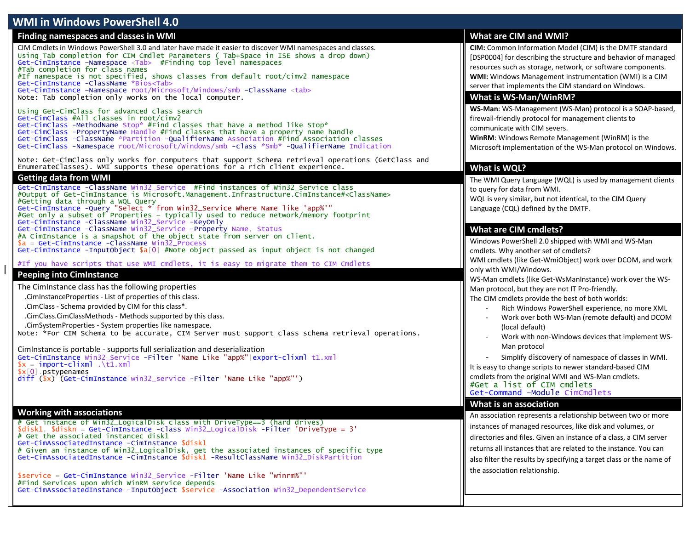# **WMI in Windows PowerShell 4.0**

### **Finding namespaces and classes in WMI**

CIM Cmdlets in Windows PowerShell 3.0 and later have made it easier to discover WMI namespaces and classes. Using Tab completion for CIM Cmdlet Parameters ( Tab+Space in ISE shows a drop down) Get-CimInstance –Namespace <Tab> #Finding top level namespaces #Tab completion for class names #If namespace is not specified, shows classes from default root/cimv2 namespace Get-CimInstance -ClassName \*Bios<Tab> Get-CimInstance –Namespace root/Microsoft/Windows/smb –ClassName <tab> Note: Tab completion only works on the local computer.

Using Get-CimClass for advanced class search Get-CimClass #All classes in root/cimv2 Get-CimClass -MethodName Stop\* #Find classes that have a method like Stop\* Get-CimClass -PropertyName Handle #Find classes that have a property name handle Get-CimClass -ClassName \*Partition -QualifierName Association #Find Association classes Get-CimClass -Namespace root/Microsoft/Windows/smb -class \*Smb\* -QualifierName Indication

Note: Get-CimClass only works for computers that support Schema retrieval operations (GetClass and EnumerateClasses). WMI supports these operations for a rich client experience.

#### **Getting data from WMI**

Get-CimInstance -ClassName Win32\_Service #Find instances of Win32\_Service class #Output of Get-CimInstance is Microsoft.Management.Infrastructure.CimInstance#<ClassName> #Getting data through a WQL Query Get-CimInstance -Query "Select \* from Win32\_Service Where Name like 'app%'" #Get only a subset of Properties – typically used to reduce network/memory footprint Get-CimInstance -ClassName Win32\_Service -KeyOnly Get-CimInstance -ClassName Win32\_Service -Property Name, Status #A CimInstance is a snapshot of the object state from server on client.  $a = Get-CimInstance-ClassName Win32 Process$ Get-CimInstance -InputObject  $\sqrt{a}$ [0] #Note object passed as input object is not changed

#If you have scripts that use WMI cmdlets, it is easy to migrate them to CIM Cmdlets

### **Peeping into CimInstance**

The CimInstance class has the following properties

.CimInstanceProperties - List of properties of this class.

.CimClass - Schema provided by CIM for this class\*.

.CimClass.CimClassMethods - Methods supported by this class.

.CimSystemProperties - System properties like namespace.

Note: \*For CIM Schema to be accurate, CIM Server must support class schema retrieval operations.

CimInstance is portable - supports full serialization and deserialization Get-CimInstance Win32\_Service -Filter 'Name Like "app%"|export-clixml t1.xml  $x = import-clixm1 \ .\tau1.xml$ \$x[0].pstypenames diff (\$x) (Get-CimInstance win32\_service -Filter 'Name Like "app%"')

### **Working with associations**

# Get instance of Win32\_LogicalDisk class with DriveType==3 (hard drives) \$disk1, \$diskn = Get-CimInstance -class Win32\_LogicalDisk -Filter 'DriveType = 3' # Get the associated instancec disk1 Get-CimAssociatedInstance -CimInstance \$disk1 # Given an instance of Win32\_LogicalDisk, get the associated instances of specific type Get-CimAssociatedInstance -CimInstance \$disk1 -ResultClassName Win32\_DiskPartition

\$service = Get-CimInstance Win32\_Service -Filter 'Name Like "winrm%"' #Find Services upon which WinRM service depends Get-CimAssociatedInstance -InputObject \$service -Association Win32\_DependentService

# **What are CIM and WMI?**

**CIM:** Common Information Model (CIM) is the DMTF standard [DSP0004] for describing the structure and behavior of managed resources such as storage, network, or software components. **WMI:** Windows Management Instrumentation (WMI) is a CIM server that implements the CIM standard on Windows.

## **What is WS-Man/WinRM?**

**WS-Man**: WS-Management (WS-Man) protocol is a SOAP-based, firewall-friendly protocol for management clients to communicate with CIM severs.

**WinRM**: Windows Remote Management (WinRM) is the Microsoft implementation of the WS-Man protocol on Windows.

# **What is WQL?**

The WMI Query Language (WQL) is used by management clients to query for data from WMI.

WQL is very similar, but not identical, to the CIM Query Language (CQL) defined by the DMTF.

## **What are CIM cmdlets?**

Windows PowerShell 2.0 shipped with WMI and WS-Man cmdlets. Why another set of cmdlets? WMI cmdlets (like Get-WmiObject) work over DCOM, and work only with WMI/Windows.

WS-Man cmdlets (like Get-WsManInstance) work over the WS-Man protocol, but they are not IT Pro-friendly.

The CIM cmdlets provide the best of both worlds:

- Rich Windows PowerShell experience, no more XML
- Work over both WS-Man (remote default) and DCOM (local default)
- Work with non-Windows devices that implement WS-Man protocol

- Simplify discovery of namespace of classes in WMI.

It is easy to change scripts to newer standard-based CIM cmdlets from the original WMI and WS-Man cmdlets. #Get a list of CIM cmdlets Get-Command –Module CimCmdlets

### **What is an association**

An association represents a relationship between two or more instances of managed resources, like disk and volumes, or directories and files. Given an instance of a class, a CIM server returns all instances that are related to the instance. You can also filter the results by specifying a target class or the name of the association relationship.